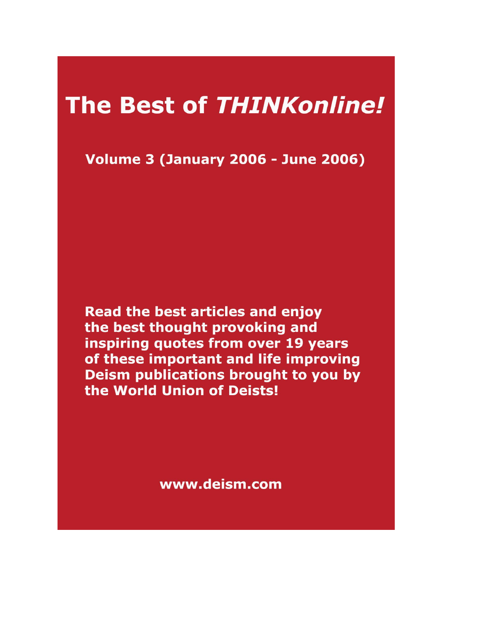# **The Best of THINKonline!**

**Volume 3 (January 2006 - June 2006)** 

Read the best articles and enjoy the best thought provoking and inspiring quotes from over 19 years of these important and life improving Deism publications brought to you by the World Union of Deists!

www.deism.com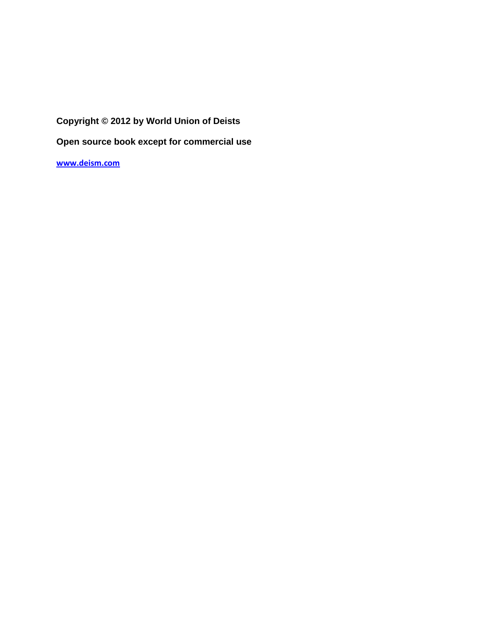## **Copyright © 2012 by World Union of Deists**

**Open source book except for commercial use** 

**[www.deism.com](http://www.deism.com/)**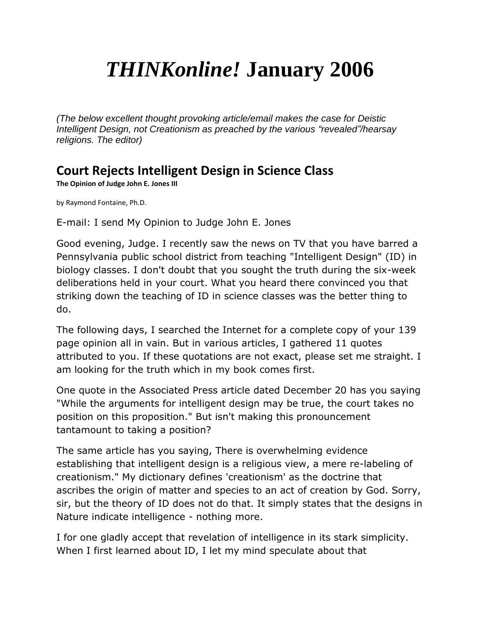# *THINKonline!* **January 2006**

*(The below excellent thought provoking article/email makes the case for Deistic Intelligent Design, not Creationism as preached by the various "revealed"/hearsay religions. The editor)*

## **Court Rejects Intelligent Design in Science Class**

**The Opinion of Judge John E. Jones III**

by Raymond Fontaine, Ph.D.

E-mail: I send My Opinion to Judge John E. Jones

Good evening, Judge. I recently saw the news on TV that you have barred a Pennsylvania public school district from teaching "Intelligent Design" (ID) in biology classes. I don't doubt that you sought the truth during the six-week deliberations held in your court. What you heard there convinced you that striking down the teaching of ID in science classes was the better thing to do.

The following days, I searched the Internet for a complete copy of your 139 page opinion all in vain. But in various articles, I gathered 11 quotes attributed to you. If these quotations are not exact, please set me straight. I am looking for the truth which in my book comes first.

One quote in the Associated Press article dated December 20 has you saying "While the arguments for intelligent design may be true, the court takes no position on this proposition." But isn't making this pronouncement tantamount to taking a position?

The same article has you saying, There is overwhelming evidence establishing that intelligent design is a religious view, a mere re-labeling of creationism." My dictionary defines 'creationism' as the doctrine that ascribes the origin of matter and species to an act of creation by God. Sorry, sir, but the theory of ID does not do that. It simply states that the designs in Nature indicate intelligence - nothing more.

I for one gladly accept that revelation of intelligence in its stark simplicity. When I first learned about ID, I let my mind speculate about that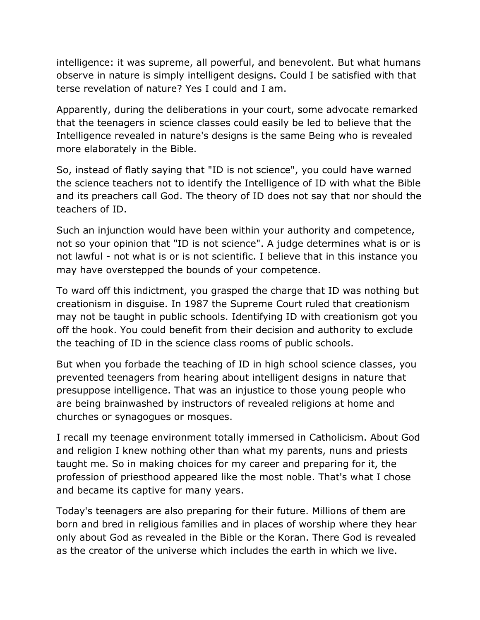intelligence: it was supreme, all powerful, and benevolent. But what humans observe in nature is simply intelligent designs. Could I be satisfied with that terse revelation of nature? Yes I could and I am.

Apparently, during the deliberations in your court, some advocate remarked that the teenagers in science classes could easily be led to believe that the Intelligence revealed in nature's designs is the same Being who is revealed more elaborately in the Bible.

So, instead of flatly saying that "ID is not science", you could have warned the science teachers not to identify the Intelligence of ID with what the Bible and its preachers call God. The theory of ID does not say that nor should the teachers of ID.

Such an injunction would have been within your authority and competence, not so your opinion that "ID is not science". A judge determines what is or is not lawful - not what is or is not scientific. I believe that in this instance you may have overstepped the bounds of your competence.

To ward off this indictment, you grasped the charge that ID was nothing but creationism in disguise. In 1987 the Supreme Court ruled that creationism may not be taught in public schools. Identifying ID with creationism got you off the hook. You could benefit from their decision and authority to exclude the teaching of ID in the science class rooms of public schools.

But when you forbade the teaching of ID in high school science classes, you prevented teenagers from hearing about intelligent designs in nature that presuppose intelligence. That was an injustice to those young people who are being brainwashed by instructors of revealed religions at home and churches or synagogues or mosques.

I recall my teenage environment totally immersed in Catholicism. About God and religion I knew nothing other than what my parents, nuns and priests taught me. So in making choices for my career and preparing for it, the profession of priesthood appeared like the most noble. That's what I chose and became its captive for many years.

Today's teenagers are also preparing for their future. Millions of them are born and bred in religious families and in places of worship where they hear only about God as revealed in the Bible or the Koran. There God is revealed as the creator of the universe which includes the earth in which we live.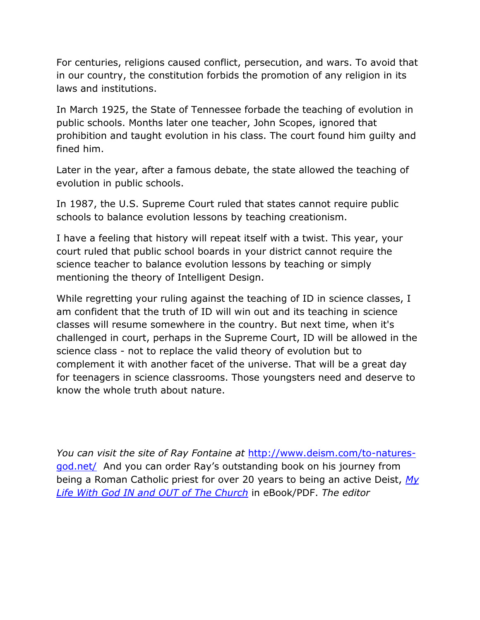For centuries, religions caused conflict, persecution, and wars. To avoid that in our country, the constitution forbids the promotion of any religion in its laws and institutions.

In March 1925, the State of Tennessee forbade the teaching of evolution in public schools. Months later one teacher, John Scopes, ignored that prohibition and taught evolution in his class. The court found him guilty and fined him.

Later in the year, after a famous debate, the state allowed the teaching of evolution in public schools.

In 1987, the U.S. Supreme Court ruled that states cannot require public schools to balance evolution lessons by teaching creationism.

I have a feeling that history will repeat itself with a twist. This year, your court ruled that public school boards in your district cannot require the science teacher to balance evolution lessons by teaching or simply mentioning the theory of Intelligent Design.

While regretting your ruling against the teaching of ID in science classes, I am confident that the truth of ID will win out and its teaching in science classes will resume somewhere in the country. But next time, when it's challenged in court, perhaps in the Supreme Court, ID will be allowed in the science class - not to replace the valid theory of evolution but to complement it with another facet of the universe. That will be a great day for teenagers in science classrooms. Those youngsters need and deserve to know the whole truth about nature.

*You can visit the site of Ray Fontaine at* [http://www.deism.com/to-natures](http://www.deism.com/to-natures-god.net/)[god.net/](http://www.deism.com/to-natures-god.net/) And you can order Ray's outstanding book on his journey from being a Roman Catholic priest for over 20 years to being an active Deist, *[My](http://www.deism.com/books.htm)  [Life With God IN and OUT of The Church](http://www.deism.com/books.htm)* in eBook/PDF. *The editor*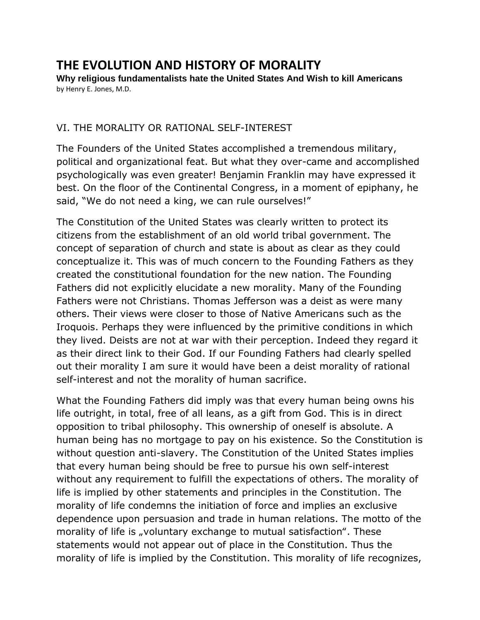## **THE EVOLUTION AND HISTORY OF MORALITY**

**Why religious fundamentalists hate the United States And Wish to kill Americans**  by Henry E. Jones, M.D.

### VI. THE MORALITY OR RATIONAL SELF-INTEREST

The Founders of the United States accomplished a tremendous military, political and organizational feat. But what they over-came and accomplished psychologically was even greater! Benjamin Franklin may have expressed it best. On the floor of the Continental Congress, in a moment of epiphany, he said, "We do not need a king, we can rule ourselves!"

The Constitution of the United States was clearly written to protect its citizens from the establishment of an old world tribal government. The concept of separation of church and state is about as clear as they could conceptualize it. This was of much concern to the Founding Fathers as they created the constitutional foundation for the new nation. The Founding Fathers did not explicitly elucidate a new morality. Many of the Founding Fathers were not Christians. Thomas Jefferson was a deist as were many others. Their views were closer to those of Native Americans such as the Iroquois. Perhaps they were influenced by the primitive conditions in which they lived. Deists are not at war with their perception. Indeed they regard it as their direct link to their God. If our Founding Fathers had clearly spelled out their morality I am sure it would have been a deist morality of rational self-interest and not the morality of human sacrifice.

What the Founding Fathers did imply was that every human being owns his life outright, in total, free of all leans, as a gift from God. This is in direct opposition to tribal philosophy. This ownership of oneself is absolute. A human being has no mortgage to pay on his existence. So the Constitution is without question anti-slavery. The Constitution of the United States implies that every human being should be free to pursue his own self-interest without any requirement to fulfill the expectations of others. The morality of life is implied by other statements and principles in the Constitution. The morality of life condemns the initiation of force and implies an exclusive dependence upon persuasion and trade in human relations. The motto of the morality of life is "voluntary exchange to mutual satisfaction". These statements would not appear out of place in the Constitution. Thus the morality of life is implied by the Constitution. This morality of life recognizes,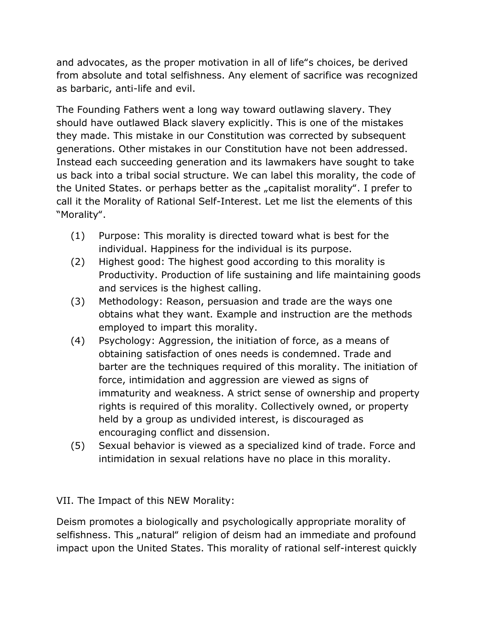and advocates, as the proper motivation in all of life"s choices, be derived from absolute and total selfishness. Any element of sacrifice was recognized as barbaric, anti-life and evil.

The Founding Fathers went a long way toward outlawing slavery. They should have outlawed Black slavery explicitly. This is one of the mistakes they made. This mistake in our Constitution was corrected by subsequent generations. Other mistakes in our Constitution have not been addressed. Instead each succeeding generation and its lawmakers have sought to take us back into a tribal social structure. We can label this morality, the code of the United States. or perhaps better as the "capitalist morality". I prefer to call it the Morality of Rational Self-Interest. Let me list the elements of this "Morality".

- (1) Purpose: This morality is directed toward what is best for the individual. Happiness for the individual is its purpose.
- (2) Highest good: The highest good according to this morality is Productivity. Production of life sustaining and life maintaining goods and services is the highest calling.
- (3) Methodology: Reason, persuasion and trade are the ways one obtains what they want. Example and instruction are the methods employed to impart this morality.
- (4) Psychology: Aggression, the initiation of force, as a means of obtaining satisfaction of ones needs is condemned. Trade and barter are the techniques required of this morality. The initiation of force, intimidation and aggression are viewed as signs of immaturity and weakness. A strict sense of ownership and property rights is required of this morality. Collectively owned, or property held by a group as undivided interest, is discouraged as encouraging conflict and dissension.
- (5) Sexual behavior is viewed as a specialized kind of trade. Force and intimidation in sexual relations have no place in this morality.

VII. The Impact of this NEW Morality:

Deism promotes a biologically and psychologically appropriate morality of selfishness. This "natural" religion of deism had an immediate and profound impact upon the United States. This morality of rational self-interest quickly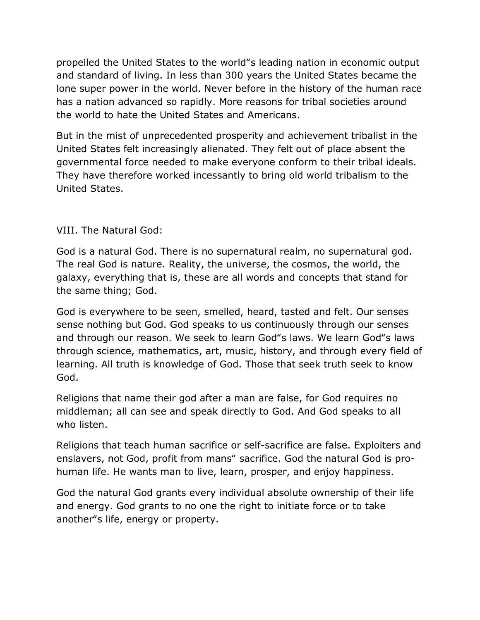propelled the United States to the world"s leading nation in economic output and standard of living. In less than 300 years the United States became the lone super power in the world. Never before in the history of the human race has a nation advanced so rapidly. More reasons for tribal societies around the world to hate the United States and Americans.

But in the mist of unprecedented prosperity and achievement tribalist in the United States felt increasingly alienated. They felt out of place absent the governmental force needed to make everyone conform to their tribal ideals. They have therefore worked incessantly to bring old world tribalism to the United States.

## VIII. The Natural God:

God is a natural God. There is no supernatural realm, no supernatural god. The real God is nature. Reality, the universe, the cosmos, the world, the galaxy, everything that is, these are all words and concepts that stand for the same thing; God.

God is everywhere to be seen, smelled, heard, tasted and felt. Our senses sense nothing but God. God speaks to us continuously through our senses and through our reason. We seek to learn God"s laws. We learn God"s laws through science, mathematics, art, music, history, and through every field of learning. All truth is knowledge of God. Those that seek truth seek to know God.

Religions that name their god after a man are false, for God requires no middleman; all can see and speak directly to God. And God speaks to all who listen.

Religions that teach human sacrifice or self-sacrifice are false. Exploiters and enslavers, not God, profit from mans" sacrifice. God the natural God is prohuman life. He wants man to live, learn, prosper, and enjoy happiness.

God the natural God grants every individual absolute ownership of their life and energy. God grants to no one the right to initiate force or to take another"s life, energy or property.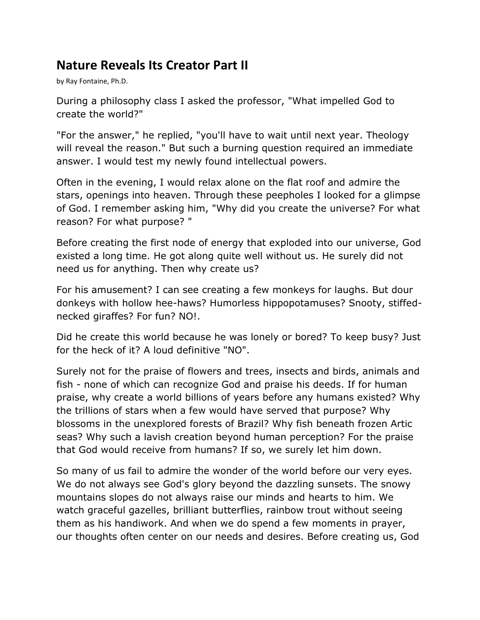## **Nature Reveals Its Creator Part II**

by Ray Fontaine, Ph.D.

During a philosophy class I asked the professor, "What impelled God to create the world?"

"For the answer," he replied, "you'll have to wait until next year. Theology will reveal the reason." But such a burning question required an immediate answer. I would test my newly found intellectual powers.

Often in the evening, I would relax alone on the flat roof and admire the stars, openings into heaven. Through these peepholes I looked for a glimpse of God. I remember asking him, "Why did you create the universe? For what reason? For what purpose? "

Before creating the first node of energy that exploded into our universe, God existed a long time. He got along quite well without us. He surely did not need us for anything. Then why create us?

For his amusement? I can see creating a few monkeys for laughs. But dour donkeys with hollow hee-haws? Humorless hippopotamuses? Snooty, stiffednecked giraffes? For fun? NO!.

Did he create this world because he was lonely or bored? To keep busy? Just for the heck of it? A loud definitive "NO".

Surely not for the praise of flowers and trees, insects and birds, animals and fish - none of which can recognize God and praise his deeds. If for human praise, why create a world billions of years before any humans existed? Why the trillions of stars when a few would have served that purpose? Why blossoms in the unexplored forests of Brazil? Why fish beneath frozen Artic seas? Why such a lavish creation beyond human perception? For the praise that God would receive from humans? If so, we surely let him down.

So many of us fail to admire the wonder of the world before our very eyes. We do not always see God's glory beyond the dazzling sunsets. The snowy mountains slopes do not always raise our minds and hearts to him. We watch graceful gazelles, brilliant butterflies, rainbow trout without seeing them as his handiwork. And when we do spend a few moments in prayer, our thoughts often center on our needs and desires. Before creating us, God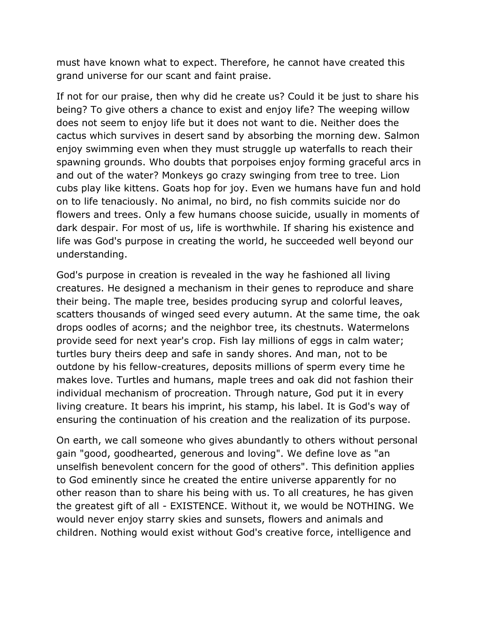must have known what to expect. Therefore, he cannot have created this grand universe for our scant and faint praise.

If not for our praise, then why did he create us? Could it be just to share his being? To give others a chance to exist and enjoy life? The weeping willow does not seem to enjoy life but it does not want to die. Neither does the cactus which survives in desert sand by absorbing the morning dew. Salmon enjoy swimming even when they must struggle up waterfalls to reach their spawning grounds. Who doubts that porpoises enjoy forming graceful arcs in and out of the water? Monkeys go crazy swinging from tree to tree. Lion cubs play like kittens. Goats hop for joy. Even we humans have fun and hold on to life tenaciously. No animal, no bird, no fish commits suicide nor do flowers and trees. Only a few humans choose suicide, usually in moments of dark despair. For most of us, life is worthwhile. If sharing his existence and life was God's purpose in creating the world, he succeeded well beyond our understanding.

God's purpose in creation is revealed in the way he fashioned all living creatures. He designed a mechanism in their genes to reproduce and share their being. The maple tree, besides producing syrup and colorful leaves, scatters thousands of winged seed every autumn. At the same time, the oak drops oodles of acorns; and the neighbor tree, its chestnuts. Watermelons provide seed for next year's crop. Fish lay millions of eggs in calm water; turtles bury theirs deep and safe in sandy shores. And man, not to be outdone by his fellow-creatures, deposits millions of sperm every time he makes love. Turtles and humans, maple trees and oak did not fashion their individual mechanism of procreation. Through nature, God put it in every living creature. It bears his imprint, his stamp, his label. It is God's way of ensuring the continuation of his creation and the realization of its purpose.

On earth, we call someone who gives abundantly to others without personal gain "good, goodhearted, generous and loving". We define love as "an unselfish benevolent concern for the good of others". This definition applies to God eminently since he created the entire universe apparently for no other reason than to share his being with us. To all creatures, he has given the greatest gift of all - EXISTENCE. Without it, we would be NOTHING. We would never enjoy starry skies and sunsets, flowers and animals and children. Nothing would exist without God's creative force, intelligence and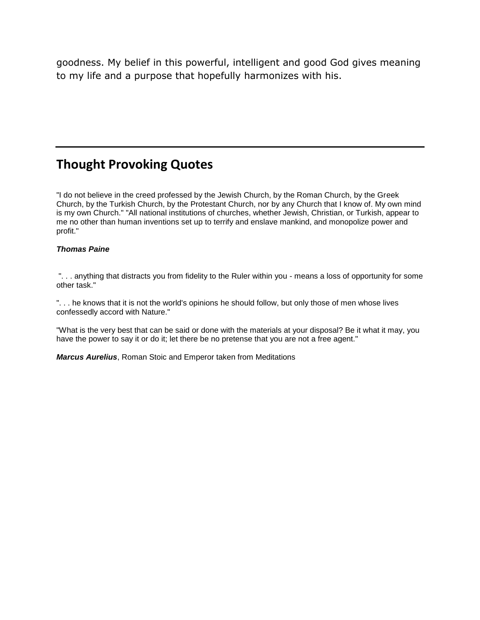goodness. My belief in this powerful, intelligent and good God gives meaning to my life and a purpose that hopefully harmonizes with his.

## **Thought Provoking Quotes**

"I do not believe in the creed professed by the Jewish Church, by the Roman Church, by the Greek Church, by the Turkish Church, by the Protestant Church, nor by any Church that I know of. My own mind is my own Church." "All national institutions of churches, whether Jewish, Christian, or Turkish, appear to me no other than human inventions set up to terrify and enslave mankind, and monopolize power and profit."

#### *Thomas Paine*

". . . anything that distracts you from fidelity to the Ruler within you - means a loss of opportunity for some other task."

". . . he knows that it is not the world's opinions he should follow, but only those of men whose lives confessedly accord with Nature."

"What is the very best that can be said or done with the materials at your disposal? Be it what it may, you have the power to say it or do it; let there be no pretense that you are not a free agent."

*Marcus Aurelius*, Roman Stoic and Emperor taken from Meditations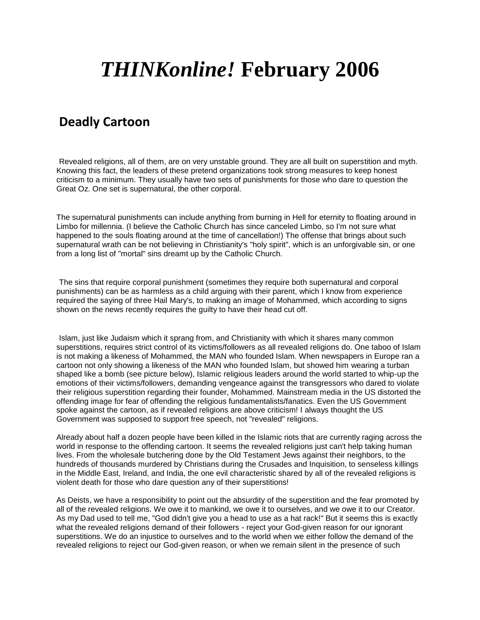# *THINKonline!* **February 2006**

## **Deadly Cartoon**

Revealed religions, all of them, are on very unstable ground. They are all built on superstition and myth. Knowing this fact, the leaders of these pretend organizations took strong measures to keep honest criticism to a minimum. They usually have two sets of punishments for those who dare to question the Great Oz. One set is supernatural, the other corporal.

The supernatural punishments can include anything from burning in Hell for eternity to floating around in Limbo for millennia. (I believe the Catholic Church has since canceled Limbo, so I'm not sure what happened to the souls floating around at the time of cancellation!) The offense that brings about such supernatural wrath can be not believing in Christianity's "holy spirit", which is an unforgivable sin, or one from a long list of "mortal" sins dreamt up by the Catholic Church.

The sins that require corporal punishment (sometimes they require both supernatural and corporal punishments) can be as harmless as a child arguing with their parent, which I know from experience required the saying of three Hail Mary's, to making an image of Mohammed, which according to signs shown on the news recently requires the guilty to have their head cut off.

Islam, just like Judaism which it sprang from, and Christianity with which it shares many common superstitions, requires strict control of its victims/followers as all revealed religions do. One taboo of Islam is not making a likeness of Mohammed, the MAN who founded Islam. When newspapers in Europe ran a cartoon not only showing a likeness of the MAN who founded Islam, but showed him wearing a turban shaped like a bomb (see picture below), Islamic religious leaders around the world started to whip-up the emotions of their victims/followers, demanding vengeance against the transgressors who dared to violate their religious superstition regarding their founder, Mohammed. Mainstream media in the US distorted the offending image for fear of offending the religious fundamentalists/fanatics. Even the US Government spoke against the cartoon, as if revealed religions are above criticism! I always thought the US Government was supposed to support free speech, not "revealed" religions.

Already about half a dozen people have been killed in the Islamic riots that are currently raging across the world in response to the offending cartoon. It seems the revealed religions just can't help taking human lives. From the wholesale butchering done by the Old Testament Jews against their neighbors, to the hundreds of thousands murdered by Christians during the Crusades and Inquisition, to senseless killings in the Middle East, Ireland, and India, the one evil characteristic shared by all of the revealed religions is violent death for those who dare question any of their superstitions!

As Deists, we have a responsibility to point out the absurdity of the superstition and the fear promoted by all of the revealed religions. We owe it to mankind, we owe it to ourselves, and we owe it to our Creator. As my Dad used to tell me, "God didn't give you a head to use as a hat rack!" But it seems this is exactly what the revealed religions demand of their followers - reject your God-given reason for our ignorant superstitions. We do an injustice to ourselves and to the world when we either follow the demand of the revealed religions to reject our God-given reason, or when we remain silent in the presence of such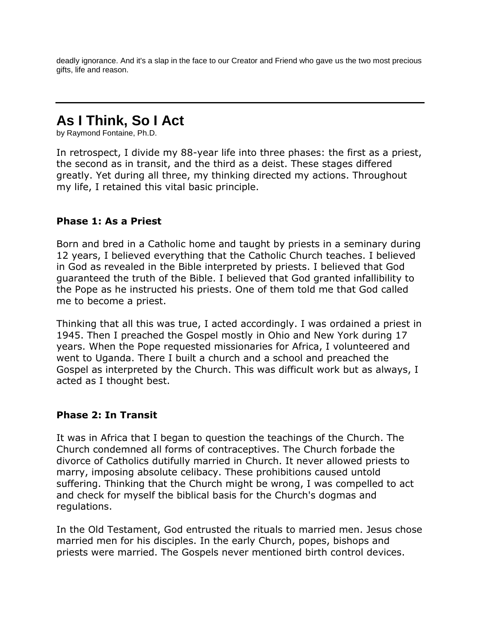deadly ignorance. And it's a slap in the face to our Creator and Friend who gave us the two most precious gifts, life and reason.

# **As I Think, So I Act**

by Raymond Fontaine, Ph.D.

In retrospect, I divide my 88-year life into three phases: the first as a priest, the second as in transit, and the third as a deist. These stages differed greatly. Yet during all three, my thinking directed my actions. Throughout my life, I retained this vital basic principle.

#### **Phase 1: As a Priest**

Born and bred in a Catholic home and taught by priests in a seminary during 12 years, I believed everything that the Catholic Church teaches. I believed in God as revealed in the Bible interpreted by priests. I believed that God guaranteed the truth of the Bible. I believed that God granted infallibility to the Pope as he instructed his priests. One of them told me that God called me to become a priest.

Thinking that all this was true, I acted accordingly. I was ordained a priest in 1945. Then I preached the Gospel mostly in Ohio and New York during 17 years. When the Pope requested missionaries for Africa, I volunteered and went to Uganda. There I built a church and a school and preached the Gospel as interpreted by the Church. This was difficult work but as always, I acted as I thought best.

#### **Phase 2: In Transit**

It was in Africa that I began to question the teachings of the Church. The Church condemned all forms of contraceptives. The Church forbade the divorce of Catholics dutifully married in Church. It never allowed priests to marry, imposing absolute celibacy. These prohibitions caused untold suffering. Thinking that the Church might be wrong, I was compelled to act and check for myself the biblical basis for the Church's dogmas and regulations.

In the Old Testament, God entrusted the rituals to married men. Jesus chose married men for his disciples. In the early Church, popes, bishops and priests were married. The Gospels never mentioned birth control devices.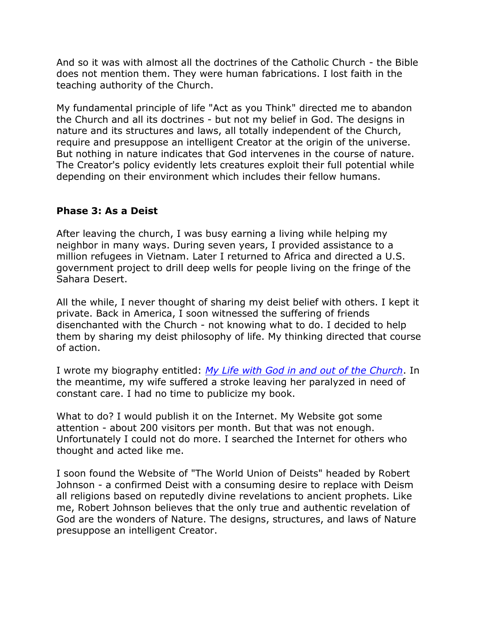And so it was with almost all the doctrines of the Catholic Church - the Bible does not mention them. They were human fabrications. I lost faith in the teaching authority of the Church.

My fundamental principle of life "Act as you Think" directed me to abandon the Church and all its doctrines - but not my belief in God. The designs in nature and its structures and laws, all totally independent of the Church, require and presuppose an intelligent Creator at the origin of the universe. But nothing in nature indicates that God intervenes in the course of nature. The Creator's policy evidently lets creatures exploit their full potential while depending on their environment which includes their fellow humans.

### **Phase 3: As a Deist**

After leaving the church, I was busy earning a living while helping my neighbor in many ways. During seven years, I provided assistance to a million refugees in Vietnam. Later I returned to Africa and directed a U.S. government project to drill deep wells for people living on the fringe of the Sahara Desert.

All the while, I never thought of sharing my deist belief with others. I kept it private. Back in America, I soon witnessed the suffering of friends disenchanted with the Church - not knowing what to do. I decided to help them by sharing my deist philosophy of life. My thinking directed that course of action.

I wrote my biography entitled: *[My Life with God in and out of the Church](http://www.deism.com/books.htm)*. In the meantime, my wife suffered a stroke leaving her paralyzed in need of constant care. I had no time to publicize my book.

What to do? I would publish it on the Internet. My Website got some attention - about 200 visitors per month. But that was not enough. Unfortunately I could not do more. I searched the Internet for others who thought and acted like me.

I soon found the Website of "The World Union of Deists" headed by Robert Johnson - a confirmed Deist with a consuming desire to replace with Deism all religions based on reputedly divine revelations to ancient prophets. Like me, Robert Johnson believes that the only true and authentic revelation of God are the wonders of Nature. The designs, structures, and laws of Nature presuppose an intelligent Creator.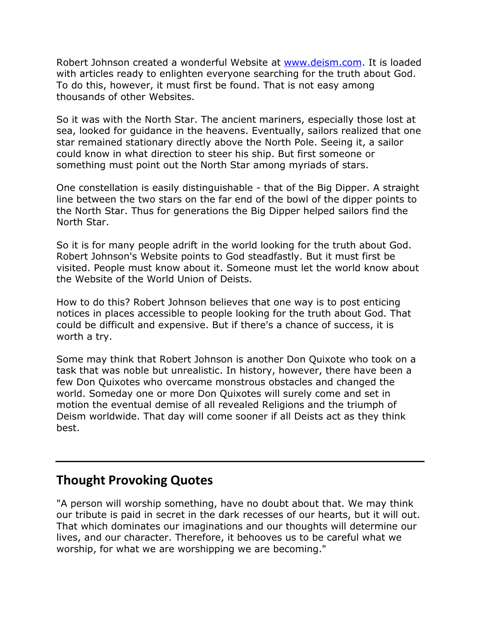Robert Johnson created a wonderful Website at [www.deism.com.](http://www.deism.com/) It is loaded with articles ready to enlighten everyone searching for the truth about God. To do this, however, it must first be found. That is not easy among thousands of other Websites.

So it was with the North Star. The ancient mariners, especially those lost at sea, looked for guidance in the heavens. Eventually, sailors realized that one star remained stationary directly above the North Pole. Seeing it, a sailor could know in what direction to steer his ship. But first someone or something must point out the North Star among myriads of stars.

One constellation is easily distinguishable - that of the Big Dipper. A straight line between the two stars on the far end of the bowl of the dipper points to the North Star. Thus for generations the Big Dipper helped sailors find the North Star.

So it is for many people adrift in the world looking for the truth about God. Robert Johnson's Website points to God steadfastly. But it must first be visited. People must know about it. Someone must let the world know about the Website of the World Union of Deists.

How to do this? Robert Johnson believes that one way is to post enticing notices in places accessible to people looking for the truth about God. That could be difficult and expensive. But if there's a chance of success, it is worth a try.

Some may think that Robert Johnson is another Don Quixote who took on a task that was noble but unrealistic. In history, however, there have been a few Don Quixotes who overcame monstrous obstacles and changed the world. Someday one or more Don Quixotes will surely come and set in motion the eventual demise of all revealed Religions and the triumph of Deism worldwide. That day will come sooner if all Deists act as they think best.

## **Thought Provoking Quotes**

"A person will worship something, have no doubt about that. We may think our tribute is paid in secret in the dark recesses of our hearts, but it will out. That which dominates our imaginations and our thoughts will determine our lives, and our character. Therefore, it behooves us to be careful what we worship, for what we are worshipping we are becoming."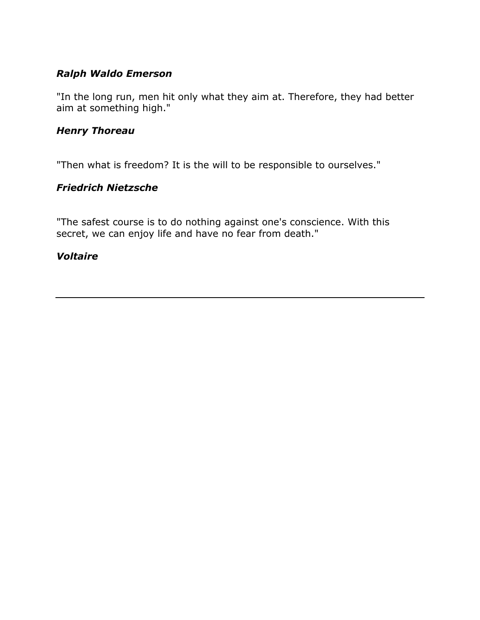## *Ralph Waldo Emerson*

"In the long run, men hit only what they aim at. Therefore, they had better aim at something high."

### *Henry Thoreau*

"Then what is freedom? It is the will to be responsible to ourselves."

## *Friedrich Nietzsche*

"The safest course is to do nothing against one's conscience. With this secret, we can enjoy life and have no fear from death."

### *Voltaire*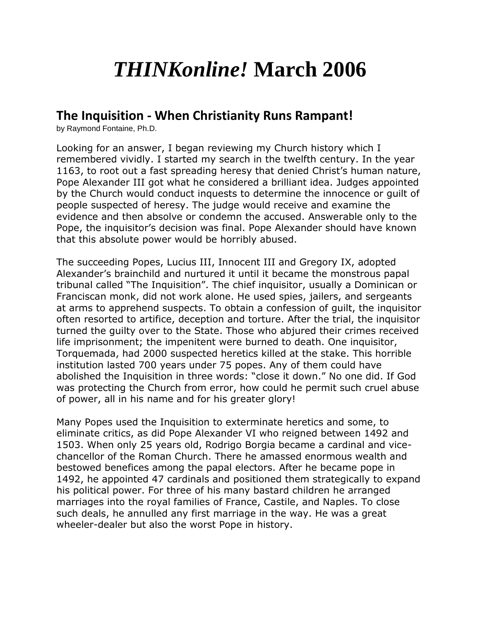# *THINKonline!* **March 2006**

## **The Inquisition - When Christianity Runs Rampant!**

by Raymond Fontaine, Ph.D.

Looking for an answer, I began reviewing my Church history which I remembered vividly. I started my search in the twelfth century. In the year 1163, to root out a fast spreading heresy that denied Christ's human nature, Pope Alexander III got what he considered a brilliant idea. Judges appointed by the Church would conduct inquests to determine the innocence or guilt of people suspected of heresy. The judge would receive and examine the evidence and then absolve or condemn the accused. Answerable only to the Pope, the inquisitor's decision was final. Pope Alexander should have known that this absolute power would be horribly abused.

The succeeding Popes, Lucius III, Innocent III and Gregory IX, adopted Alexander's brainchild and nurtured it until it became the monstrous papal tribunal called "The Inquisition". The chief inquisitor, usually a Dominican or Franciscan monk, did not work alone. He used spies, jailers, and sergeants at arms to apprehend suspects. To obtain a confession of guilt, the inquisitor often resorted to artifice, deception and torture. After the trial, the inquisitor turned the guilty over to the State. Those who abjured their crimes received life imprisonment; the impenitent were burned to death. One inquisitor, Torquemada, had 2000 suspected heretics killed at the stake. This horrible institution lasted 700 years under 75 popes. Any of them could have abolished the Inquisition in three words: "close it down." No one did. If God was protecting the Church from error, how could he permit such cruel abuse of power, all in his name and for his greater glory!

Many Popes used the Inquisition to exterminate heretics and some, to eliminate critics, as did Pope Alexander VI who reigned between 1492 and 1503. When only 25 years old, Rodrigo Borgia became a cardinal and vicechancellor of the Roman Church. There he amassed enormous wealth and bestowed benefices among the papal electors. After he became pope in 1492, he appointed 47 cardinals and positioned them strategically to expand his political power. For three of his many bastard children he arranged marriages into the royal families of France, Castile, and Naples. To close such deals, he annulled any first marriage in the way. He was a great wheeler-dealer but also the worst Pope in history.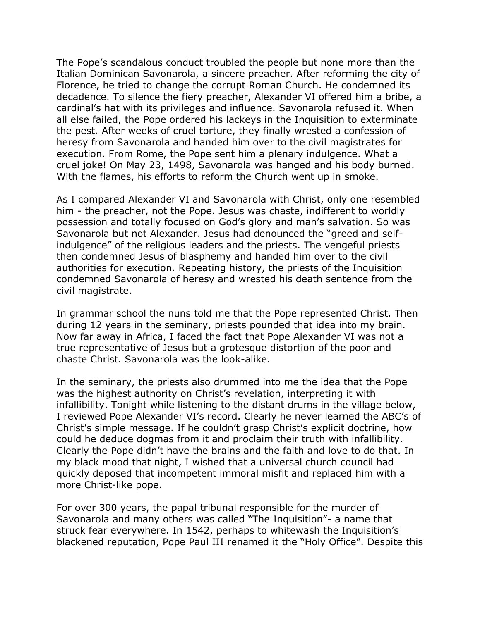The Pope's scandalous conduct troubled the people but none more than the Italian Dominican Savonarola, a sincere preacher. After reforming the city of Florence, he tried to change the corrupt Roman Church. He condemned its decadence. To silence the fiery preacher, Alexander VI offered him a bribe, a cardinal's hat with its privileges and influence. Savonarola refused it. When all else failed, the Pope ordered his lackeys in the Inquisition to exterminate the pest. After weeks of cruel torture, they finally wrested a confession of heresy from Savonarola and handed him over to the civil magistrates for execution. From Rome, the Pope sent him a plenary indulgence. What a cruel joke! On May 23, 1498, Savonarola was hanged and his body burned. With the flames, his efforts to reform the Church went up in smoke.

As I compared Alexander VI and Savonarola with Christ, only one resembled him - the preacher, not the Pope. Jesus was chaste, indifferent to worldly possession and totally focused on God's glory and man's salvation. So was Savonarola but not Alexander. Jesus had denounced the "greed and selfindulgence" of the religious leaders and the priests. The vengeful priests then condemned Jesus of blasphemy and handed him over to the civil authorities for execution. Repeating history, the priests of the Inquisition condemned Savonarola of heresy and wrested his death sentence from the civil magistrate.

In grammar school the nuns told me that the Pope represented Christ. Then during 12 years in the seminary, priests pounded that idea into my brain. Now far away in Africa, I faced the fact that Pope Alexander VI was not a true representative of Jesus but a grotesque distortion of the poor and chaste Christ. Savonarola was the look-alike.

In the seminary, the priests also drummed into me the idea that the Pope was the highest authority on Christ's revelation, interpreting it with infallibility. Tonight while listening to the distant drums in the village below, I reviewed Pope Alexander VI's record. Clearly he never learned the ABC's of Christ's simple message. If he couldn't grasp Christ's explicit doctrine, how could he deduce dogmas from it and proclaim their truth with infallibility. Clearly the Pope didn't have the brains and the faith and love to do that. In my black mood that night, I wished that a universal church council had quickly deposed that incompetent immoral misfit and replaced him with a more Christ-like pope.

For over 300 years, the papal tribunal responsible for the murder of Savonarola and many others was called "The Inquisition"- a name that struck fear everywhere. In 1542, perhaps to whitewash the Inquisition's blackened reputation, Pope Paul III renamed it the "Holy Office". Despite this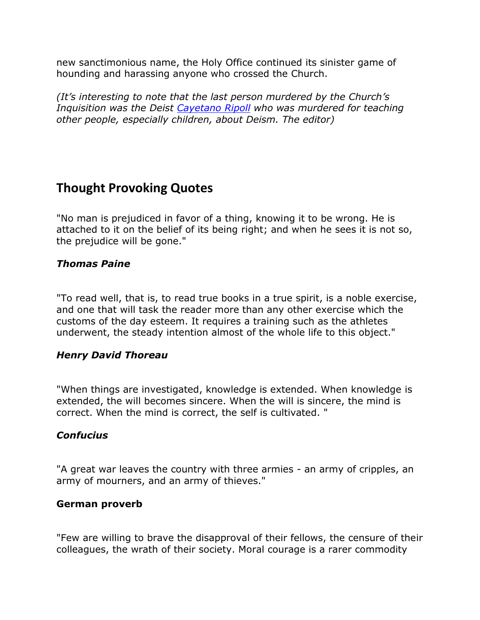new sanctimonious name, the Holy Office continued its sinister game of hounding and harassing anyone who crossed the Church.

*(It's interesting to note that the last person murdered by the Church's Inquisition was the Deist [Cayetano Ripoll](http://www.deism.com/martyrfordeism.htm) who was murdered for teaching other people, especially children, about Deism. The editor)*

## **Thought Provoking Quotes**

"No man is prejudiced in favor of a thing, knowing it to be wrong. He is attached to it on the belief of its being right; and when he sees it is not so, the prejudice will be gone."

## *Thomas Paine*

"To read well, that is, to read true books in a true spirit, is a noble exercise, and one that will task the reader more than any other exercise which the customs of the day esteem. It requires a training such as the athletes underwent, the steady intention almost of the whole life to this object."

## *Henry David Thoreau*

"When things are investigated, knowledge is extended. When knowledge is extended, the will becomes sincere. When the will is sincere, the mind is correct. When the mind is correct, the self is cultivated. "

## *Confucius*

"A great war leaves the country with three armies - an army of cripples, an army of mourners, and an army of thieves."

## **German proverb**

"Few are willing to brave the disapproval of their fellows, the censure of their colleagues, the wrath of their society. Moral courage is a rarer commodity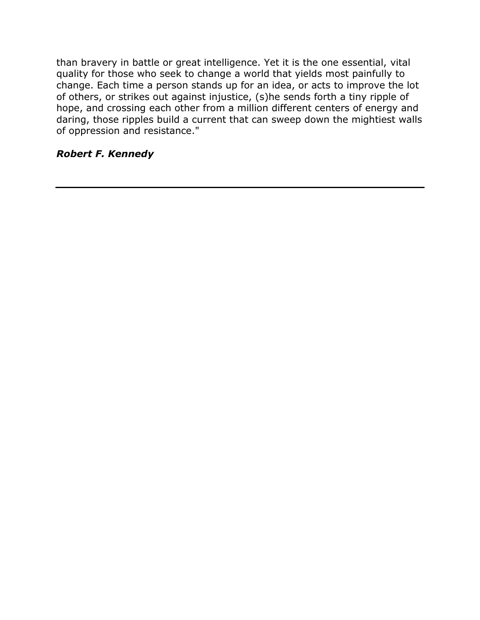than bravery in battle or great intelligence. Yet it is the one essential, vital quality for those who seek to change a world that yields most painfully to change. Each time a person stands up for an idea, or acts to improve the lot of others, or strikes out against injustice, (s)he sends forth a tiny ripple of hope, and crossing each other from a million different centers of energy and daring, those ripples build a current that can sweep down the mightiest walls of oppression and resistance."

## *Robert F. Kennedy*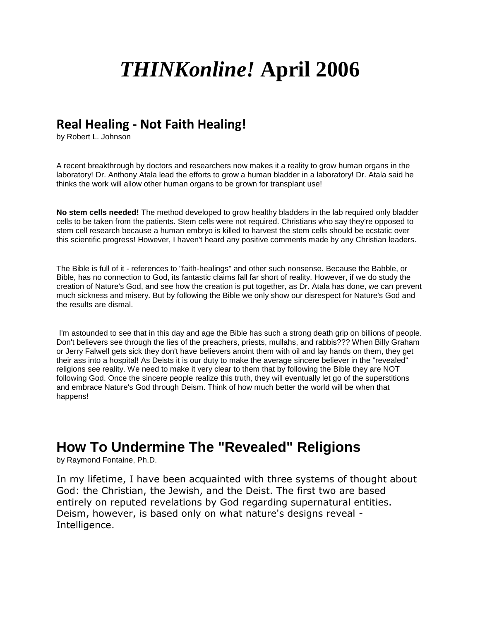# *THINKonline!* **April 2006**

## **Real Healing - Not Faith Healing!**

by Robert L. Johnson

A recent breakthrough by doctors and researchers now makes it a reality to grow human organs in the laboratory! Dr. Anthony Atala lead the efforts to grow a human bladder in a laboratory! Dr. Atala said he thinks the work will allow other human organs to be grown for transplant use!

**No stem cells needed!** The method developed to grow healthy bladders in the lab required only bladder cells to be taken from the patients. Stem cells were not required. Christians who say they're opposed to stem cell research because a human embryo is killed to harvest the stem cells should be ecstatic over this scientific progress! However, I haven't heard any positive comments made by any Christian leaders.

The Bible is full of it - references to "faith-healings" and other such nonsense. Because the Babble, or Bible, has no connection to God, its fantastic claims fall far short of reality. However, if we do study the creation of Nature's God, and see how the creation is put together, as Dr. Atala has done, we can prevent much sickness and misery. But by following the Bible we only show our disrespect for Nature's God and the results are dismal.

I'm astounded to see that in this day and age the Bible has such a strong death grip on billions of people. Don't believers see through the lies of the preachers, priests, mullahs, and rabbis??? When Billy Graham or Jerry Falwell gets sick they don't have believers anoint them with oil and lay hands on them, they get their ass into a hospital! As Deists it is our duty to make the average sincere believer in the "revealed" religions see reality. We need to make it very clear to them that by following the Bible they are NOT following God. Once the sincere people realize this truth, they will eventually let go of the superstitions and embrace Nature's God through Deism. Think of how much better the world will be when that happens!

## **How To Undermine The "Revealed" Religions**

by Raymond Fontaine, Ph.D.

In my lifetime, I have been acquainted with three systems of thought about God: the Christian, the Jewish, and the Deist. The first two are based entirely on reputed revelations by God regarding supernatural entities. Deism, however, is based only on what nature's designs reveal - Intelligence.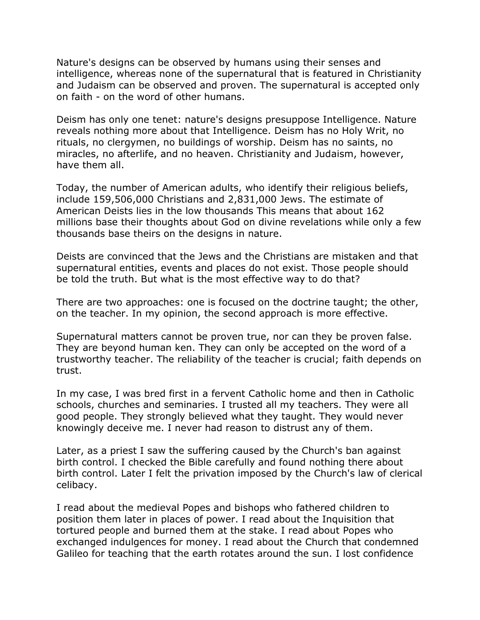Nature's designs can be observed by humans using their senses and intelligence, whereas none of the supernatural that is featured in Christianity and Judaism can be observed and proven. The supernatural is accepted only on faith - on the word of other humans.

Deism has only one tenet: nature's designs presuppose Intelligence. Nature reveals nothing more about that Intelligence. Deism has no Holy Writ, no rituals, no clergymen, no buildings of worship. Deism has no saints, no miracles, no afterlife, and no heaven. Christianity and Judaism, however, have them all.

Today, the number of American adults, who identify their religious beliefs, include 159,506,000 Christians and 2,831,000 Jews. The estimate of American Deists lies in the low thousands This means that about 162 millions base their thoughts about God on divine revelations while only a few thousands base theirs on the designs in nature.

Deists are convinced that the Jews and the Christians are mistaken and that supernatural entities, events and places do not exist. Those people should be told the truth. But what is the most effective way to do that?

There are two approaches: one is focused on the doctrine taught; the other, on the teacher. In my opinion, the second approach is more effective.

Supernatural matters cannot be proven true, nor can they be proven false. They are beyond human ken. They can only be accepted on the word of a trustworthy teacher. The reliability of the teacher is crucial; faith depends on trust.

In my case, I was bred first in a fervent Catholic home and then in Catholic schools, churches and seminaries. I trusted all my teachers. They were all good people. They strongly believed what they taught. They would never knowingly deceive me. I never had reason to distrust any of them.

Later, as a priest I saw the suffering caused by the Church's ban against birth control. I checked the Bible carefully and found nothing there about birth control. Later I felt the privation imposed by the Church's law of clerical celibacy.

I read about the medieval Popes and bishops who fathered children to position them later in places of power. I read about the Inquisition that tortured people and burned them at the stake. I read about Popes who exchanged indulgences for money. I read about the Church that condemned Galileo for teaching that the earth rotates around the sun. I lost confidence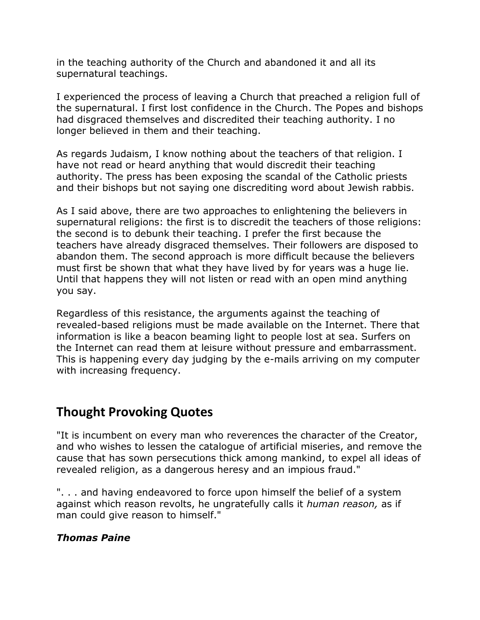in the teaching authority of the Church and abandoned it and all its supernatural teachings.

I experienced the process of leaving a Church that preached a religion full of the supernatural. I first lost confidence in the Church. The Popes and bishops had disgraced themselves and discredited their teaching authority. I no longer believed in them and their teaching.

As regards Judaism, I know nothing about the teachers of that religion. I have not read or heard anything that would discredit their teaching authority. The press has been exposing the scandal of the Catholic priests and their bishops but not saying one discrediting word about Jewish rabbis.

As I said above, there are two approaches to enlightening the believers in supernatural religions: the first is to discredit the teachers of those religions: the second is to debunk their teaching. I prefer the first because the teachers have already disgraced themselves. Their followers are disposed to abandon them. The second approach is more difficult because the believers must first be shown that what they have lived by for years was a huge lie. Until that happens they will not listen or read with an open mind anything you say.

Regardless of this resistance, the arguments against the teaching of revealed-based religions must be made available on the Internet. There that information is like a beacon beaming light to people lost at sea. Surfers on the Internet can read them at leisure without pressure and embarrassment. This is happening every day judging by the e-mails arriving on my computer with increasing frequency.

## **Thought Provoking Quotes**

"It is incumbent on every man who reverences the character of the Creator, and who wishes to lessen the catalogue of artificial miseries, and remove the cause that has sown persecutions thick among mankind, to expel all ideas of revealed religion, as a dangerous heresy and an impious fraud."

". . . and having endeavored to force upon himself the belief of a system against which reason revolts, he ungratefully calls it *human reason,* as if man could give reason to himself."

## *Thomas Paine*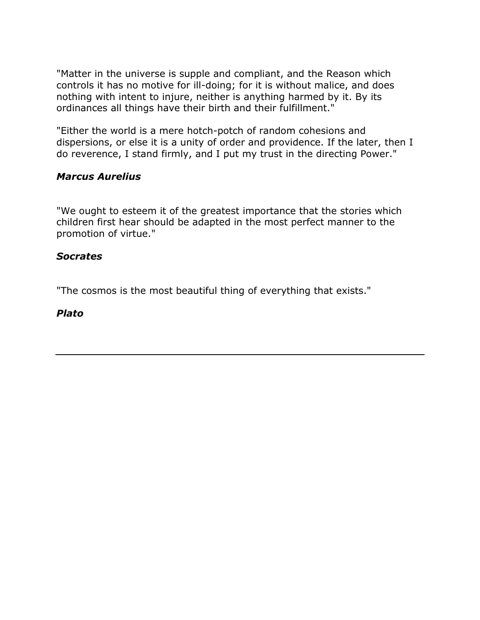"Matter in the universe is supple and compliant, and the Reason which controls it has no motive for ill-doing; for it is without malice, and does nothing with intent to injure, neither is anything harmed by it. By its ordinances all things have their birth and their fulfillment."

"Either the world is a mere hotch-potch of random cohesions and dispersions, or else it is a unity of order and providence. If the later, then I do reverence, I stand firmly, and I put my trust in the directing Power."

### *Marcus Aurelius*

"We ought to esteem it of the greatest importance that the stories which children first hear should be adapted in the most perfect manner to the promotion of virtue."

#### *Socrates*

"The cosmos is the most beautiful thing of everything that exists."

#### *Plato*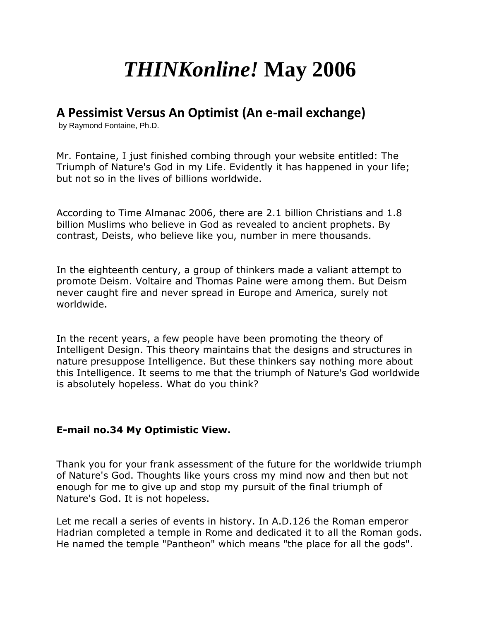# *THINKonline!* **May 2006**

## **A Pessimist Versus An Optimist (An e-mail exchange)**

by Raymond Fontaine, Ph.D.

Mr. Fontaine, I just finished combing through your website entitled: The Triumph of Nature's God in my Life. Evidently it has happened in your life; but not so in the lives of billions worldwide.

According to Time Almanac 2006, there are 2.1 billion Christians and 1.8 billion Muslims who believe in God as revealed to ancient prophets. By contrast, Deists, who believe like you, number in mere thousands.

In the eighteenth century, a group of thinkers made a valiant attempt to promote Deism. Voltaire and Thomas Paine were among them. But Deism never caught fire and never spread in Europe and America, surely not worldwide.

In the recent years, a few people have been promoting the theory of Intelligent Design. This theory maintains that the designs and structures in nature presuppose Intelligence. But these thinkers say nothing more about this Intelligence. It seems to me that the triumph of Nature's God worldwide is absolutely hopeless. What do you think?

#### **E-mail no.34 My Optimistic View.**

Thank you for your frank assessment of the future for the worldwide triumph of Nature's God. Thoughts like yours cross my mind now and then but not enough for me to give up and stop my pursuit of the final triumph of Nature's God. It is not hopeless.

Let me recall a series of events in history. In A.D.126 the Roman emperor Hadrian completed a temple in Rome and dedicated it to all the Roman gods. He named the temple "Pantheon" which means "the place for all the gods".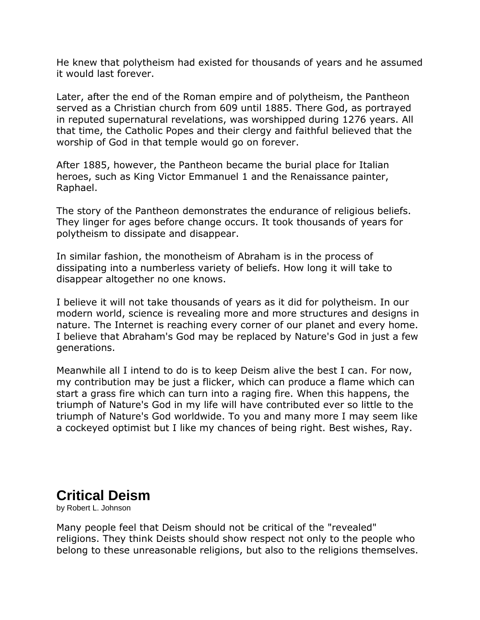He knew that polytheism had existed for thousands of years and he assumed it would last forever.

Later, after the end of the Roman empire and of polytheism, the Pantheon served as a Christian church from 609 until 1885. There God, as portrayed in reputed supernatural revelations, was worshipped during 1276 years. All that time, the Catholic Popes and their clergy and faithful believed that the worship of God in that temple would go on forever.

After 1885, however, the Pantheon became the burial place for Italian heroes, such as King Victor Emmanuel 1 and the Renaissance painter, Raphael.

The story of the Pantheon demonstrates the endurance of religious beliefs. They linger for ages before change occurs. It took thousands of years for polytheism to dissipate and disappear.

In similar fashion, the monotheism of Abraham is in the process of dissipating into a numberless variety of beliefs. How long it will take to disappear altogether no one knows.

I believe it will not take thousands of years as it did for polytheism. In our modern world, science is revealing more and more structures and designs in nature. The Internet is reaching every corner of our planet and every home. I believe that Abraham's God may be replaced by Nature's God in just a few generations.

Meanwhile all I intend to do is to keep Deism alive the best I can. For now, my contribution may be just a flicker, which can produce a flame which can start a grass fire which can turn into a raging fire. When this happens, the triumph of Nature's God in my life will have contributed ever so little to the triumph of Nature's God worldwide. To you and many more I may seem like a cockeyed optimist but I like my chances of being right. Best wishes, Ray.

## **Critical Deism**

by Robert L. Johnson

Many people feel that Deism should not be critical of the "revealed" religions. They think Deists should show respect not only to the people who belong to these unreasonable religions, but also to the religions themselves.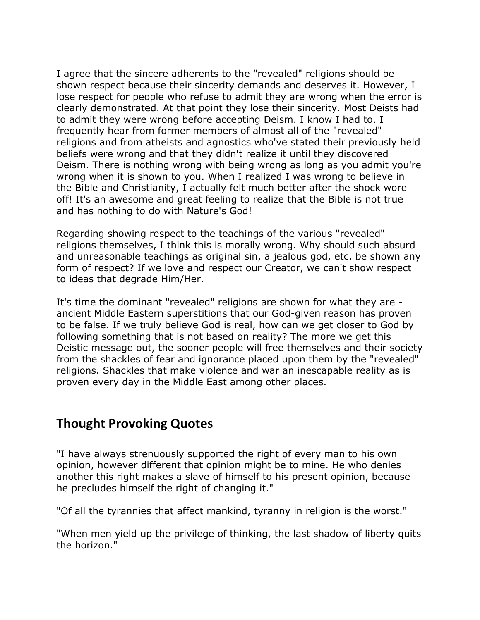I agree that the sincere adherents to the "revealed" religions should be shown respect because their sincerity demands and deserves it. However, I lose respect for people who refuse to admit they are wrong when the error is clearly demonstrated. At that point they lose their sincerity. Most Deists had to admit they were wrong before accepting Deism. I know I had to. I frequently hear from former members of almost all of the "revealed" religions and from atheists and agnostics who've stated their previously held beliefs were wrong and that they didn't realize it until they discovered Deism. There is nothing wrong with being wrong as long as you admit you're wrong when it is shown to you. When I realized I was wrong to believe in the Bible and Christianity, I actually felt much better after the shock wore off! It's an awesome and great feeling to realize that the Bible is not true and has nothing to do with Nature's God!

Regarding showing respect to the teachings of the various "revealed" religions themselves, I think this is morally wrong. Why should such absurd and unreasonable teachings as original sin, a jealous god, etc. be shown any form of respect? If we love and respect our Creator, we can't show respect to ideas that degrade Him/Her.

It's time the dominant "revealed" religions are shown for what they are ancient Middle Eastern superstitions that our God-given reason has proven to be false. If we truly believe God is real, how can we get closer to God by following something that is not based on reality? The more we get this Deistic message out, the sooner people will free themselves and their society from the shackles of fear and ignorance placed upon them by the "revealed" religions. Shackles that make violence and war an inescapable reality as is proven every day in the Middle East among other places.

## **Thought Provoking Quotes**

"I have always strenuously supported the right of every man to his own opinion, however different that opinion might be to mine. He who denies another this right makes a slave of himself to his present opinion, because he precludes himself the right of changing it."

"Of all the tyrannies that affect mankind, tyranny in religion is the worst."

"When men yield up the privilege of thinking, the last shadow of liberty quits the horizon."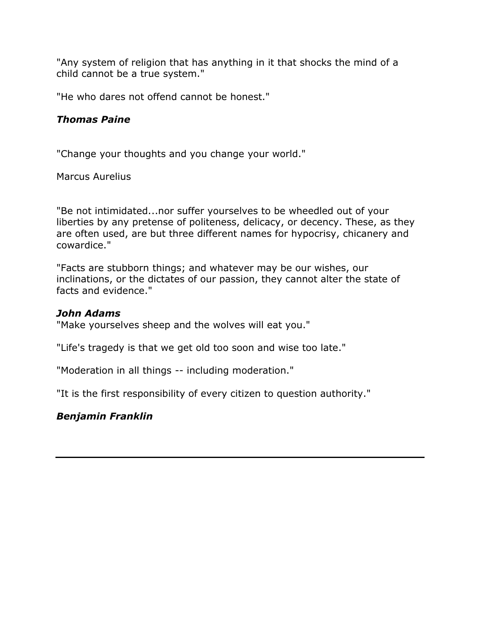"Any system of religion that has anything in it that shocks the mind of a child cannot be a true system."

"He who dares not offend cannot be honest."

### *Thomas Paine*

"Change your thoughts and you change your world."

Marcus Aurelius

"Be not intimidated...nor suffer yourselves to be wheedled out of your liberties by any pretense of politeness, delicacy, or decency. These, as they are often used, are but three different names for hypocrisy, chicanery and cowardice."

"Facts are stubborn things; and whatever may be our wishes, our inclinations, or the dictates of our passion, they cannot alter the state of facts and evidence."

#### *John Adams*

"Make yourselves sheep and the wolves will eat you."

"Life's tragedy is that we get old too soon and wise too late."

"Moderation in all things -- including moderation."

"It is the first responsibility of every citizen to question authority."

#### *Benjamin Franklin*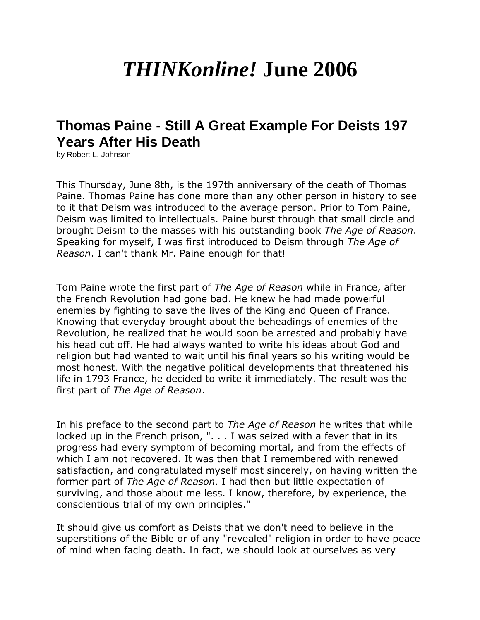# *THINKonline!* **June 2006**

# **Thomas Paine - Still A Great Example For Deists 197 Years After His Death**

by Robert L. Johnson

This Thursday, June 8th, is the 197th anniversary of the death of Thomas Paine. Thomas Paine has done more than any other person in history to see to it that Deism was introduced to the average person. Prior to Tom Paine, Deism was limited to intellectuals. Paine burst through that small circle and brought Deism to the masses with his outstanding book *The Age of Reason*. Speaking for myself, I was first introduced to Deism through *The Age of Reason*. I can't thank Mr. Paine enough for that!

Tom Paine wrote the first part of *The Age of Reason* while in France, after the French Revolution had gone bad. He knew he had made powerful enemies by fighting to save the lives of the King and Queen of France. Knowing that everyday brought about the beheadings of enemies of the Revolution, he realized that he would soon be arrested and probably have his head cut off. He had always wanted to write his ideas about God and religion but had wanted to wait until his final years so his writing would be most honest. With the negative political developments that threatened his life in 1793 France, he decided to write it immediately. The result was the first part of *The Age of Reason*.

In his preface to the second part to *The Age of Reason* he writes that while locked up in the French prison, ". . . I was seized with a fever that in its progress had every symptom of becoming mortal, and from the effects of which I am not recovered. It was then that I remembered with renewed satisfaction, and congratulated myself most sincerely, on having written the former part of *The Age of Reason*. I had then but little expectation of surviving, and those about me less. I know, therefore, by experience, the conscientious trial of my own principles."

It should give us comfort as Deists that we don't need to believe in the superstitions of the Bible or of any "revealed" religion in order to have peace of mind when facing death. In fact, we should look at ourselves as very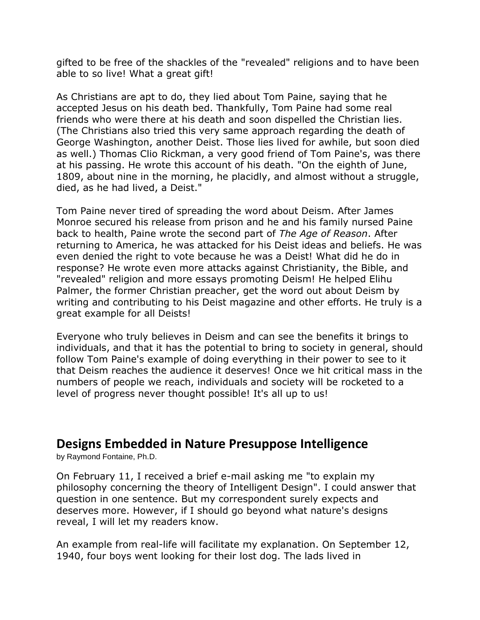gifted to be free of the shackles of the "revealed" religions and to have been able to so live! What a great gift!

As Christians are apt to do, they lied about Tom Paine, saying that he accepted Jesus on his death bed. Thankfully, Tom Paine had some real friends who were there at his death and soon dispelled the Christian lies. (The Christians also tried this very same approach regarding the death of George Washington, another Deist. Those lies lived for awhile, but soon died as well.) Thomas Clio Rickman, a very good friend of Tom Paine's, was there at his passing. He wrote this account of his death. "On the eighth of June, 1809, about nine in the morning, he placidly, and almost without a struggle, died, as he had lived, a Deist."

Tom Paine never tired of spreading the word about Deism. After James Monroe secured his release from prison and he and his family nursed Paine back to health, Paine wrote the second part of *The Age of Reason*. After returning to America, he was attacked for his Deist ideas and beliefs. He was even denied the right to vote because he was a Deist! What did he do in response? He wrote even more attacks against Christianity, the Bible, and "revealed" religion and more essays promoting Deism! He helped Elihu Palmer, the former Christian preacher, get the word out about Deism by writing and contributing to his Deist magazine and other efforts. He truly is a great example for all Deists!

Everyone who truly believes in Deism and can see the benefits it brings to individuals, and that it has the potential to bring to society in general, should follow Tom Paine's example of doing everything in their power to see to it that Deism reaches the audience it deserves! Once we hit critical mass in the numbers of people we reach, individuals and society will be rocketed to a level of progress never thought possible! It's all up to us!

## **Designs Embedded in Nature Presuppose Intelligence**

by Raymond Fontaine, Ph.D.

On February 11, I received a brief e-mail asking me "to explain my philosophy concerning the theory of Intelligent Design". I could answer that question in one sentence. But my correspondent surely expects and deserves more. However, if I should go beyond what nature's designs reveal, I will let my readers know.

An example from real-life will facilitate my explanation. On September 12, 1940, four boys went looking for their lost dog. The lads lived in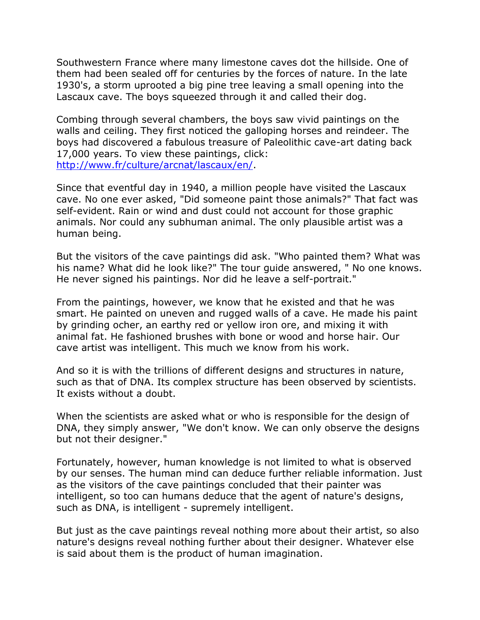Southwestern France where many limestone caves dot the hillside. One of them had been sealed off for centuries by the forces of nature. In the late 1930's, a storm uprooted a big pine tree leaving a small opening into the Lascaux cave. The boys squeezed through it and called their dog.

Combing through several chambers, the boys saw vivid paintings on the walls and ceiling. They first noticed the galloping horses and reindeer. The boys had discovered a fabulous treasure of Paleolithic cave-art dating back 17,000 years. To view these paintings, click: [http://www.fr/culture/arcnat/lascaux/en/.](http://www.fr/culture/arcnat/lascaux/en/)

Since that eventful day in 1940, a million people have visited the Lascaux cave. No one ever asked, "Did someone paint those animals?" That fact was self-evident. Rain or wind and dust could not account for those graphic animals. Nor could any subhuman animal. The only plausible artist was a human being.

But the visitors of the cave paintings did ask. "Who painted them? What was his name? What did he look like?" The tour guide answered, " No one knows. He never signed his paintings. Nor did he leave a self-portrait."

From the paintings, however, we know that he existed and that he was smart. He painted on uneven and rugged walls of a cave. He made his paint by grinding ocher, an earthy red or yellow iron ore, and mixing it with animal fat. He fashioned brushes with bone or wood and horse hair. Our cave artist was intelligent. This much we know from his work.

And so it is with the trillions of different designs and structures in nature, such as that of DNA. Its complex structure has been observed by scientists. It exists without a doubt.

When the scientists are asked what or who is responsible for the design of DNA, they simply answer, "We don't know. We can only observe the designs but not their designer."

Fortunately, however, human knowledge is not limited to what is observed by our senses. The human mind can deduce further reliable information. Just as the visitors of the cave paintings concluded that their painter was intelligent, so too can humans deduce that the agent of nature's designs, such as DNA, is intelligent - supremely intelligent.

But just as the cave paintings reveal nothing more about their artist, so also nature's designs reveal nothing further about their designer. Whatever else is said about them is the product of human imagination.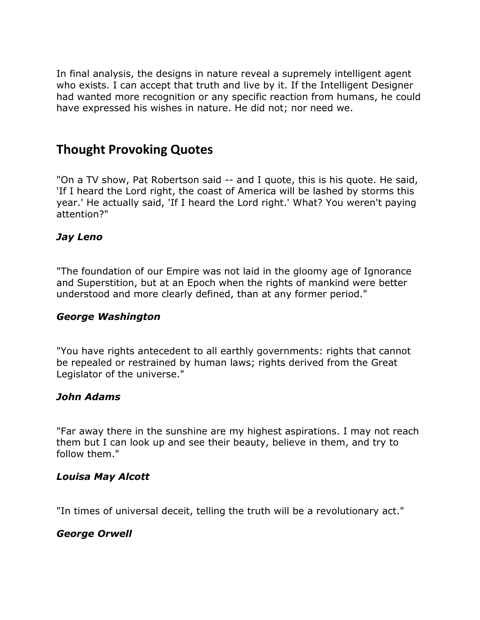In final analysis, the designs in nature reveal a supremely intelligent agent who exists. I can accept that truth and live by it. If the Intelligent Designer had wanted more recognition or any specific reaction from humans, he could have expressed his wishes in nature. He did not; nor need we.

## **Thought Provoking Quotes**

"On a TV show, Pat Robertson said -- and I quote, this is his quote. He said, 'If I heard the Lord right, the coast of America will be lashed by storms this year.' He actually said, 'If I heard the Lord right.' What? You weren't paying attention?"

## *Jay Leno*

"The foundation of our Empire was not laid in the gloomy age of Ignorance and Superstition, but at an Epoch when the rights of mankind were better understood and more clearly defined, than at any former period."

#### *George Washington*

"You have rights antecedent to all earthly governments: rights that cannot be repealed or restrained by human laws; rights derived from the Great Legislator of the universe."

## *John Adams*

"Far away there in the sunshine are my highest aspirations. I may not reach them but I can look up and see their beauty, believe in them, and try to follow them."

#### *Louisa May Alcott*

"In times of universal deceit, telling the truth will be a revolutionary act."

## *George Orwell*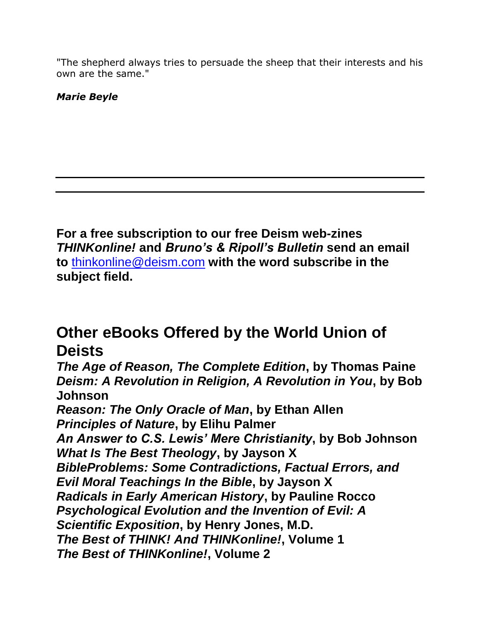"The shepherd always tries to persuade the sheep that their interests and his own are the same."

*Marie Beyle*

**For a free subscription to our free Deism web-zines**  *THINKonline!* **and** *Bruno's & Ripoll's Bulletin* **send an email to** [thinkonline@deism.com](mailto:thinkonline@deism.com) **with the word subscribe in the subject field.**

# **Other eBooks Offered by the World Union of Deists**

*The Age of Reason, The Complete Edition***, by Thomas Paine**  *Deism: A Revolution in Religion, A Revolution in You***, by Bob Johnson** 

*Reason: The Only Oracle of Man***, by Ethan Allen**  *Principles of Nature***, by Elihu Palmer**  *An Answer to C.S. Lewis' Mere Christianity***, by Bob Johnson**  *What Is The Best Theology***, by Jayson X**  *BibleProblems: Some Contradictions, Factual Errors, and Evil Moral Teachings In the Bible***, by Jayson X**  *Radicals in Early American History***, by Pauline Rocco**  *Psychological Evolution and the Invention of Evil: A Scientific Exposition***, by Henry Jones, M.D.**  *The Best of THINK! And THINKonline!***, Volume 1**  *The Best of THINKonline!***, Volume 2**